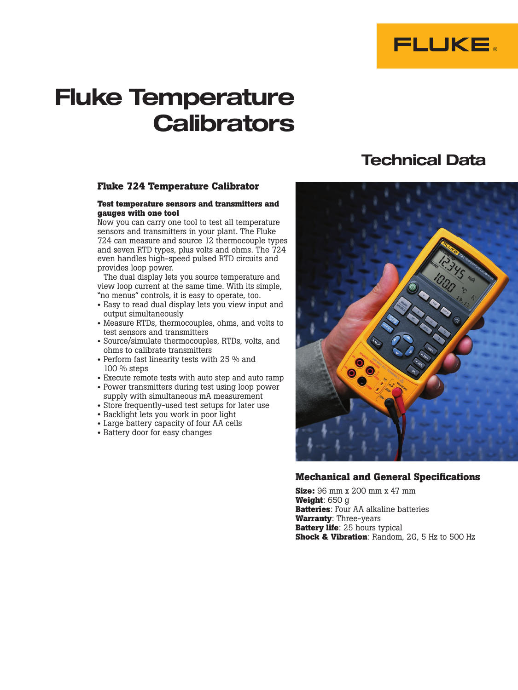

# **Fluke Temperature Calibrators**

#### **Fluke 724 Temperature Calibrator**

#### **Test temperature sensors and transmitters and gauges with one tool**

Now you can carry one tool to test all temperature sensors and transmitters in your plant. The Fluke 724 can measure and source 12 thermocouple types and seven RTD types, plus volts and ohms. The 724 even handles high-speed pulsed RTD circuits and provides loop power.

The dual display lets you source temperature and view loop current at the same time. With its simple, "no menus" controls, it is easy to operate, too.

- Easy to read dual display lets you view input and output simultaneously
- Measure RTDs, thermocouples, ohms, and volts to test sensors and transmitters
- Source/simulate thermocouples, RTDs, volts, and ohms to calibrate transmitters
- Perform fast linearity tests with 25 % and 100 % steps
- Execute remote tests with auto step and auto ramp
- Power transmitters during test using loop power supply with simultaneous mA measurement
- Store frequently-used test setups for later use
- Backlight lets you work in poor light
- Large battery capacity of four AA cells
- Battery door for easy changes

## **Technical Data**



## **Mechanical and General Specifications**

**Size:** 96 mm x 200 mm x 47 mm **Weight**: 650 g **Batteries**: Four AA alkaline batteries **Warranty**: Three-years **Battery life**: 25 hours typical **Shock & Vibration**: Random, 2G, 5 Hz to 500 Hz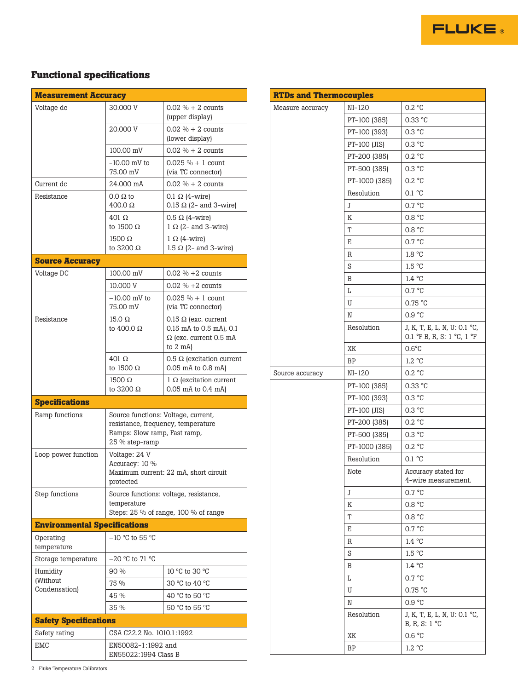

## **Functional specifications**

| <b>Measurement Accuracy</b>         |                                                                                                                             |                                                        |  |  |  |  |  |  |
|-------------------------------------|-----------------------------------------------------------------------------------------------------------------------------|--------------------------------------------------------|--|--|--|--|--|--|
| Voltage dc                          | 30,000 V                                                                                                                    | $0.02 \% + 2 counts$                                   |  |  |  |  |  |  |
|                                     | (upper display)<br>$0.02 \% + 2 counts$<br>20.000 V                                                                         |                                                        |  |  |  |  |  |  |
|                                     | (lower display)                                                                                                             |                                                        |  |  |  |  |  |  |
|                                     | 100.00 mV                                                                                                                   | $0.02 \% + 2 counts$                                   |  |  |  |  |  |  |
|                                     | $-10.00$ mV to<br>75.00 mV                                                                                                  | $0.025 \% + 1$ count<br>(via TC connector)             |  |  |  |  |  |  |
| Current dc                          | 24.000 mA                                                                                                                   | $0.02 \% + 2 counts$                                   |  |  |  |  |  |  |
| Resistance                          | $0.0 \Omega$ to<br>$400.0 \Omega$                                                                                           | 0.1 $\Omega$ (4-wire)<br>$0.15 \Omega$ (2- and 3-wire) |  |  |  |  |  |  |
|                                     | $401 \Omega$<br>to 1500 $\Omega$                                                                                            | $0.5 \Omega$ (4-wire)<br>$1 \Omega$ (2- and 3-wire)    |  |  |  |  |  |  |
|                                     | $1500 \Omega$<br>to 3200 $\Omega$                                                                                           | $1 \Omega$ (4-wire)<br>1.5 $\Omega$ (2- and 3-wire)    |  |  |  |  |  |  |
| <b>Source Accuracy</b>              |                                                                                                                             |                                                        |  |  |  |  |  |  |
| Voltage DC                          | 100.00 mV                                                                                                                   | $0.02 \% + 2 counts$                                   |  |  |  |  |  |  |
|                                     | 10,000 V                                                                                                                    | $0.02 \% + 2 counts$                                   |  |  |  |  |  |  |
|                                     | $-10.00$ mV to<br>75.00 mV                                                                                                  | $0.025 \% + 1$ count<br>(via TC connector)             |  |  |  |  |  |  |
| Resistance                          | $15.0 \Omega$<br>to 400.0 $\Omega$                                                                                          | 0.15 $\Omega$ (exc. current<br>0.15 mA to 0.5 mA), 0.1 |  |  |  |  |  |  |
|                                     | $\Omega$ (exc. current 0.5 mA<br>to $2 \text{ mA}$                                                                          |                                                        |  |  |  |  |  |  |
|                                     | $401 \Omega$<br>0.5 $\Omega$ (excitation current<br>to 1500 $\Omega$<br>0.05 mA to 0.8 mA)                                  |                                                        |  |  |  |  |  |  |
|                                     | $1500 \Omega$<br>to 3200 $\Omega$                                                                                           | $1 \Omega$ (excitation current<br>0.05 mA to 0.4 mA)   |  |  |  |  |  |  |
| <b>Specifications</b>               |                                                                                                                             |                                                        |  |  |  |  |  |  |
| Ramp functions                      | Source functions: Voltage, current,<br>resistance, frequency, temperature<br>Ramps: Slow ramp, Fast ramp,<br>25 % step-ramp |                                                        |  |  |  |  |  |  |
| Loop power function                 | Voltage: 24 V<br>Accuracy: 10 %<br>Maximum current: 22 mA, short circuit<br>protected                                       |                                                        |  |  |  |  |  |  |
| Step functions                      | Source functions: voltage, resistance,<br>temperature<br>Steps: $25\%$ of range, 100 % of range                             |                                                        |  |  |  |  |  |  |
| <b>Environmental Specifications</b> |                                                                                                                             |                                                        |  |  |  |  |  |  |
| Operating<br>temperature            | $-10$ °C to 55 °C                                                                                                           |                                                        |  |  |  |  |  |  |
| Storage temperature                 | –20 °C to 71 °C                                                                                                             |                                                        |  |  |  |  |  |  |
| Humidity                            | 90%<br>10 °C to 30 °C                                                                                                       |                                                        |  |  |  |  |  |  |
| (Without<br>Condensation)           | 75 %                                                                                                                        | 30 °C to 40 °C                                         |  |  |  |  |  |  |
|                                     | 45 %                                                                                                                        | 40 °C to 50 °C                                         |  |  |  |  |  |  |
|                                     | 35 %                                                                                                                        | 50 °C to 55 °C                                         |  |  |  |  |  |  |
| <b>Safety Specifications</b>        |                                                                                                                             |                                                        |  |  |  |  |  |  |
| Safety rating                       | CSA C22.2 No. 1010.1:1992                                                                                                   |                                                        |  |  |  |  |  |  |
| EMC                                 | EN50082-1:1992 and<br>EN55022:1994 Class B                                                                                  |                                                        |  |  |  |  |  |  |

| NI-120<br>0.2 °C<br>Measure accuracy<br>PT-100 (385)<br>$0.33$ °C<br>0.3 °C<br>PT-100 (393)<br>0.3 °C<br>PT-100 (JIS)<br>0.2 °C<br>PT-200 (385)<br>0.3 °C<br>PT-500 (385)<br>0.2 °C<br>PT-1000 (385)<br>0.1 °C<br>Resolution<br>0.7 °C<br>J<br>Κ<br>0.8 °C<br>T<br>0.8 °C<br>0.7 °C<br>Е<br>1.8 °C<br>R<br>1.5 °C<br>S<br>1.4 °C<br>B<br>Г<br>0.7 °C<br>0.75 °C<br>U<br>0.9 °C<br>N<br>Resolution<br>J, K, T, E, L, N, U: 0.1 °C,<br>0.1 °F B, R, S: 1 °C, 1 °F<br>$0.6^{\circ}$ C<br>ΧK<br>1.2 °C<br>ΒP<br>0.2 °C<br>NI-120<br>Source accuracy<br>$0.33$ °C<br>PT-100 (385)<br>0.3 °C<br>PT-100 (393)<br>PT-100 (JIS)<br>0.3 °C<br>0.2 °C<br>PT-200 (385)<br>0.3 °C<br>PT-500 (385)<br>0.2 °C<br>PT-1000 (385)<br>0.1 °C<br>Resolution<br>Accuracy stated for<br>Note<br>4-wire measurement.<br>0.7 °C<br>J<br>K<br>0.8 °C<br>Т<br>0.8 °C<br>0.7 °C<br>Е<br>1.4 °C<br>R<br>1.5 °C<br>S<br>1.4 °C<br>Β<br>Г<br>0.7 °C<br>0.75 °C<br>U<br>0.9 °C<br>N<br>Resolution<br>J, K, T, E, L, N, U: 0.1 °C,<br>B, R, S: $1^{\circ}$ C<br>0.6 °C<br>XK | <b>RTDs and Thermocouples</b> |    |        |  |  |  |  |  |  |
|----------------------------------------------------------------------------------------------------------------------------------------------------------------------------------------------------------------------------------------------------------------------------------------------------------------------------------------------------------------------------------------------------------------------------------------------------------------------------------------------------------------------------------------------------------------------------------------------------------------------------------------------------------------------------------------------------------------------------------------------------------------------------------------------------------------------------------------------------------------------------------------------------------------------------------------------------------------------------------------------------------------------------------------------|-------------------------------|----|--------|--|--|--|--|--|--|
|                                                                                                                                                                                                                                                                                                                                                                                                                                                                                                                                                                                                                                                                                                                                                                                                                                                                                                                                                                                                                                              |                               |    |        |  |  |  |  |  |  |
|                                                                                                                                                                                                                                                                                                                                                                                                                                                                                                                                                                                                                                                                                                                                                                                                                                                                                                                                                                                                                                              |                               |    |        |  |  |  |  |  |  |
|                                                                                                                                                                                                                                                                                                                                                                                                                                                                                                                                                                                                                                                                                                                                                                                                                                                                                                                                                                                                                                              |                               |    |        |  |  |  |  |  |  |
|                                                                                                                                                                                                                                                                                                                                                                                                                                                                                                                                                                                                                                                                                                                                                                                                                                                                                                                                                                                                                                              |                               |    |        |  |  |  |  |  |  |
|                                                                                                                                                                                                                                                                                                                                                                                                                                                                                                                                                                                                                                                                                                                                                                                                                                                                                                                                                                                                                                              |                               |    |        |  |  |  |  |  |  |
|                                                                                                                                                                                                                                                                                                                                                                                                                                                                                                                                                                                                                                                                                                                                                                                                                                                                                                                                                                                                                                              |                               |    |        |  |  |  |  |  |  |
|                                                                                                                                                                                                                                                                                                                                                                                                                                                                                                                                                                                                                                                                                                                                                                                                                                                                                                                                                                                                                                              |                               |    |        |  |  |  |  |  |  |
|                                                                                                                                                                                                                                                                                                                                                                                                                                                                                                                                                                                                                                                                                                                                                                                                                                                                                                                                                                                                                                              |                               |    |        |  |  |  |  |  |  |
|                                                                                                                                                                                                                                                                                                                                                                                                                                                                                                                                                                                                                                                                                                                                                                                                                                                                                                                                                                                                                                              |                               |    |        |  |  |  |  |  |  |
|                                                                                                                                                                                                                                                                                                                                                                                                                                                                                                                                                                                                                                                                                                                                                                                                                                                                                                                                                                                                                                              |                               |    |        |  |  |  |  |  |  |
|                                                                                                                                                                                                                                                                                                                                                                                                                                                                                                                                                                                                                                                                                                                                                                                                                                                                                                                                                                                                                                              |                               |    |        |  |  |  |  |  |  |
|                                                                                                                                                                                                                                                                                                                                                                                                                                                                                                                                                                                                                                                                                                                                                                                                                                                                                                                                                                                                                                              |                               |    |        |  |  |  |  |  |  |
|                                                                                                                                                                                                                                                                                                                                                                                                                                                                                                                                                                                                                                                                                                                                                                                                                                                                                                                                                                                                                                              |                               |    |        |  |  |  |  |  |  |
|                                                                                                                                                                                                                                                                                                                                                                                                                                                                                                                                                                                                                                                                                                                                                                                                                                                                                                                                                                                                                                              |                               |    |        |  |  |  |  |  |  |
|                                                                                                                                                                                                                                                                                                                                                                                                                                                                                                                                                                                                                                                                                                                                                                                                                                                                                                                                                                                                                                              |                               |    |        |  |  |  |  |  |  |
|                                                                                                                                                                                                                                                                                                                                                                                                                                                                                                                                                                                                                                                                                                                                                                                                                                                                                                                                                                                                                                              |                               |    |        |  |  |  |  |  |  |
|                                                                                                                                                                                                                                                                                                                                                                                                                                                                                                                                                                                                                                                                                                                                                                                                                                                                                                                                                                                                                                              |                               |    |        |  |  |  |  |  |  |
|                                                                                                                                                                                                                                                                                                                                                                                                                                                                                                                                                                                                                                                                                                                                                                                                                                                                                                                                                                                                                                              |                               |    |        |  |  |  |  |  |  |
|                                                                                                                                                                                                                                                                                                                                                                                                                                                                                                                                                                                                                                                                                                                                                                                                                                                                                                                                                                                                                                              |                               |    |        |  |  |  |  |  |  |
|                                                                                                                                                                                                                                                                                                                                                                                                                                                                                                                                                                                                                                                                                                                                                                                                                                                                                                                                                                                                                                              |                               |    |        |  |  |  |  |  |  |
|                                                                                                                                                                                                                                                                                                                                                                                                                                                                                                                                                                                                                                                                                                                                                                                                                                                                                                                                                                                                                                              |                               |    |        |  |  |  |  |  |  |
|                                                                                                                                                                                                                                                                                                                                                                                                                                                                                                                                                                                                                                                                                                                                                                                                                                                                                                                                                                                                                                              |                               |    |        |  |  |  |  |  |  |
|                                                                                                                                                                                                                                                                                                                                                                                                                                                                                                                                                                                                                                                                                                                                                                                                                                                                                                                                                                                                                                              |                               |    |        |  |  |  |  |  |  |
|                                                                                                                                                                                                                                                                                                                                                                                                                                                                                                                                                                                                                                                                                                                                                                                                                                                                                                                                                                                                                                              |                               |    |        |  |  |  |  |  |  |
|                                                                                                                                                                                                                                                                                                                                                                                                                                                                                                                                                                                                                                                                                                                                                                                                                                                                                                                                                                                                                                              |                               |    |        |  |  |  |  |  |  |
|                                                                                                                                                                                                                                                                                                                                                                                                                                                                                                                                                                                                                                                                                                                                                                                                                                                                                                                                                                                                                                              |                               |    |        |  |  |  |  |  |  |
|                                                                                                                                                                                                                                                                                                                                                                                                                                                                                                                                                                                                                                                                                                                                                                                                                                                                                                                                                                                                                                              |                               |    |        |  |  |  |  |  |  |
|                                                                                                                                                                                                                                                                                                                                                                                                                                                                                                                                                                                                                                                                                                                                                                                                                                                                                                                                                                                                                                              |                               |    |        |  |  |  |  |  |  |
|                                                                                                                                                                                                                                                                                                                                                                                                                                                                                                                                                                                                                                                                                                                                                                                                                                                                                                                                                                                                                                              |                               |    |        |  |  |  |  |  |  |
|                                                                                                                                                                                                                                                                                                                                                                                                                                                                                                                                                                                                                                                                                                                                                                                                                                                                                                                                                                                                                                              |                               |    |        |  |  |  |  |  |  |
|                                                                                                                                                                                                                                                                                                                                                                                                                                                                                                                                                                                                                                                                                                                                                                                                                                                                                                                                                                                                                                              |                               |    |        |  |  |  |  |  |  |
|                                                                                                                                                                                                                                                                                                                                                                                                                                                                                                                                                                                                                                                                                                                                                                                                                                                                                                                                                                                                                                              |                               |    |        |  |  |  |  |  |  |
|                                                                                                                                                                                                                                                                                                                                                                                                                                                                                                                                                                                                                                                                                                                                                                                                                                                                                                                                                                                                                                              |                               |    |        |  |  |  |  |  |  |
|                                                                                                                                                                                                                                                                                                                                                                                                                                                                                                                                                                                                                                                                                                                                                                                                                                                                                                                                                                                                                                              |                               |    |        |  |  |  |  |  |  |
|                                                                                                                                                                                                                                                                                                                                                                                                                                                                                                                                                                                                                                                                                                                                                                                                                                                                                                                                                                                                                                              |                               |    |        |  |  |  |  |  |  |
|                                                                                                                                                                                                                                                                                                                                                                                                                                                                                                                                                                                                                                                                                                                                                                                                                                                                                                                                                                                                                                              |                               |    |        |  |  |  |  |  |  |
|                                                                                                                                                                                                                                                                                                                                                                                                                                                                                                                                                                                                                                                                                                                                                                                                                                                                                                                                                                                                                                              |                               |    |        |  |  |  |  |  |  |
|                                                                                                                                                                                                                                                                                                                                                                                                                                                                                                                                                                                                                                                                                                                                                                                                                                                                                                                                                                                                                                              |                               |    |        |  |  |  |  |  |  |
|                                                                                                                                                                                                                                                                                                                                                                                                                                                                                                                                                                                                                                                                                                                                                                                                                                                                                                                                                                                                                                              |                               |    |        |  |  |  |  |  |  |
|                                                                                                                                                                                                                                                                                                                                                                                                                                                                                                                                                                                                                                                                                                                                                                                                                                                                                                                                                                                                                                              |                               |    |        |  |  |  |  |  |  |
|                                                                                                                                                                                                                                                                                                                                                                                                                                                                                                                                                                                                                                                                                                                                                                                                                                                                                                                                                                                                                                              |                               |    |        |  |  |  |  |  |  |
|                                                                                                                                                                                                                                                                                                                                                                                                                                                                                                                                                                                                                                                                                                                                                                                                                                                                                                                                                                                                                                              |                               |    |        |  |  |  |  |  |  |
|                                                                                                                                                                                                                                                                                                                                                                                                                                                                                                                                                                                                                                                                                                                                                                                                                                                                                                                                                                                                                                              |                               | ΒP | 1.2 °C |  |  |  |  |  |  |